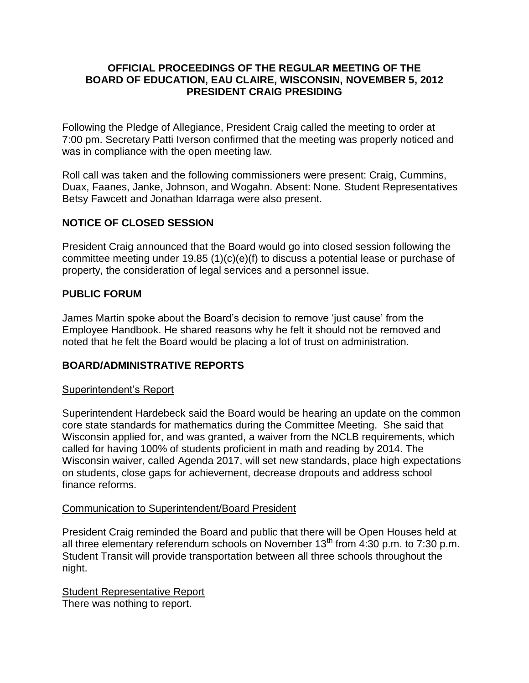### **OFFICIAL PROCEEDINGS OF THE REGULAR MEETING OF THE BOARD OF EDUCATION, EAU CLAIRE, WISCONSIN, NOVEMBER 5, 2012 PRESIDENT CRAIG PRESIDING**

Following the Pledge of Allegiance, President Craig called the meeting to order at 7:00 pm. Secretary Patti Iverson confirmed that the meeting was properly noticed and was in compliance with the open meeting law.

Roll call was taken and the following commissioners were present: Craig, Cummins, Duax, Faanes, Janke, Johnson, and Wogahn. Absent: None. Student Representatives Betsy Fawcett and Jonathan Idarraga were also present.

### **NOTICE OF CLOSED SESSION**

President Craig announced that the Board would go into closed session following the committee meeting under 19.85 (1)(c)(e)(f) to discuss a potential lease or purchase of property, the consideration of legal services and a personnel issue.

### **PUBLIC FORUM**

James Martin spoke about the Board's decision to remove 'just cause' from the Employee Handbook. He shared reasons why he felt it should not be removed and noted that he felt the Board would be placing a lot of trust on administration.

## **BOARD/ADMINISTRATIVE REPORTS**

### Superintendent's Report

Superintendent Hardebeck said the Board would be hearing an update on the common core state standards for mathematics during the Committee Meeting. She said that Wisconsin applied for, and was granted, a waiver from the NCLB requirements, which called for having 100% of students proficient in math and reading by 2014. The Wisconsin waiver, called Agenda 2017, will set new standards, place high expectations on students, close gaps for achievement, decrease dropouts and address school finance reforms.

### Communication to Superintendent/Board President

President Craig reminded the Board and public that there will be Open Houses held at all three elementary referendum schools on November  $13<sup>th</sup>$  from 4:30 p.m. to 7:30 p.m. Student Transit will provide transportation between all three schools throughout the night.

**Student Representative Report** There was nothing to report.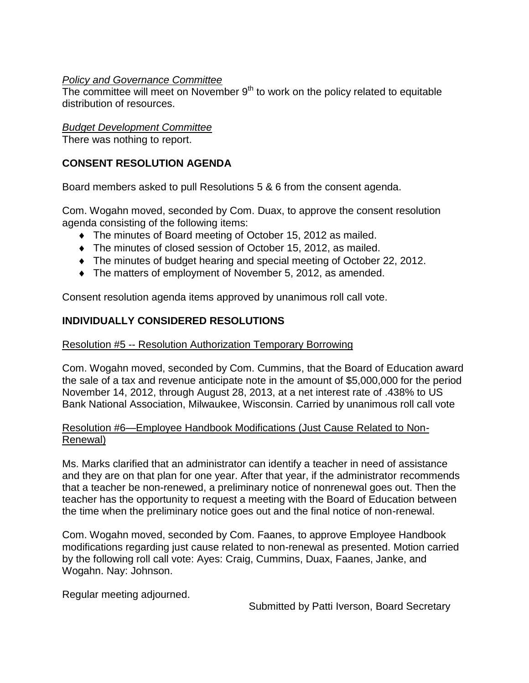### *Policy and Governance Committee*

The committee will meet on November  $9<sup>th</sup>$  to work on the policy related to equitable distribution of resources.

## *Budget Development Committee*

There was nothing to report.

# **CONSENT RESOLUTION AGENDA**

Board members asked to pull Resolutions 5 & 6 from the consent agenda.

Com. Wogahn moved, seconded by Com. Duax, to approve the consent resolution agenda consisting of the following items:

- The minutes of Board meeting of October 15, 2012 as mailed.
- The minutes of closed session of October 15, 2012, as mailed.
- $\bullet$  The minutes of budget hearing and special meeting of October 22, 2012.
- The matters of employment of November 5, 2012, as amended.

Consent resolution agenda items approved by unanimous roll call vote.

# **INDIVIDUALLY CONSIDERED RESOLUTIONS**

### Resolution #5 -- Resolution Authorization Temporary Borrowing

Com. Wogahn moved, seconded by Com. Cummins, that the Board of Education award the sale of a tax and revenue anticipate note in the amount of \$5,000,000 for the period November 14, 2012, through August 28, 2013, at a net interest rate of .438% to US Bank National Association, Milwaukee, Wisconsin. Carried by unanimous roll call vote

### Resolution #6—Employee Handbook Modifications (Just Cause Related to Non-Renewal)

Ms. Marks clarified that an administrator can identify a teacher in need of assistance and they are on that plan for one year. After that year, if the administrator recommends that a teacher be non-renewed, a preliminary notice of nonrenewal goes out. Then the teacher has the opportunity to request a meeting with the Board of Education between the time when the preliminary notice goes out and the final notice of non-renewal.

Com. Wogahn moved, seconded by Com. Faanes, to approve Employee Handbook modifications regarding just cause related to non-renewal as presented. Motion carried by the following roll call vote: Ayes: Craig, Cummins, Duax, Faanes, Janke, and Wogahn. Nay: Johnson.

Regular meeting adjourned.

Submitted by Patti Iverson, Board Secretary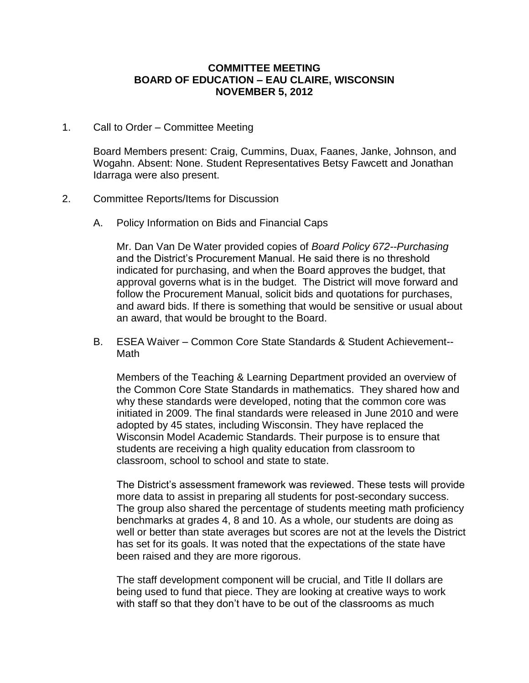#### **COMMITTEE MEETING BOARD OF EDUCATION – EAU CLAIRE, WISCONSIN NOVEMBER 5, 2012**

1. Call to Order – Committee Meeting

Board Members present: Craig, Cummins, Duax, Faanes, Janke, Johnson, and Wogahn. Absent: None. Student Representatives Betsy Fawcett and Jonathan Idarraga were also present.

- 2. Committee Reports/Items for Discussion
	- A. Policy Information on Bids and Financial Caps

Mr. Dan Van De Water provided copies of *Board Policy 672--Purchasing* and the District's Procurement Manual. He said there is no threshold indicated for purchasing, and when the Board approves the budget, that approval governs what is in the budget. The District will move forward and follow the Procurement Manual, solicit bids and quotations for purchases, and award bids. If there is something that would be sensitive or usual about an award, that would be brought to the Board.

B. ESEA Waiver – Common Core State Standards & Student Achievement-- Math

Members of the Teaching & Learning Department provided an overview of the Common Core State Standards in mathematics. They shared how and why these standards were developed, noting that the common core was initiated in 2009. The final standards were released in June 2010 and were adopted by 45 states, including Wisconsin. They have replaced the Wisconsin Model Academic Standards. Their purpose is to ensure that students are receiving a high quality education from classroom to classroom, school to school and state to state.

The District's assessment framework was reviewed. These tests will provide more data to assist in preparing all students for post-secondary success. The group also shared the percentage of students meeting math proficiency benchmarks at grades 4, 8 and 10. As a whole, our students are doing as well or better than state averages but scores are not at the levels the District has set for its goals. It was noted that the expectations of the state have been raised and they are more rigorous.

The staff development component will be crucial, and Title II dollars are being used to fund that piece. They are looking at creative ways to work with staff so that they don't have to be out of the classrooms as much